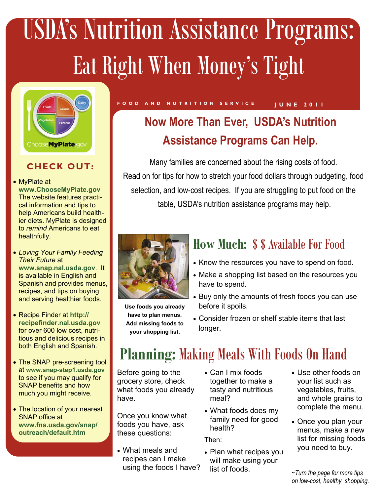# USDA's Nutrition Assistance Programs: Eat Right When Money's Tight



#### **CHECK OUT:**

• MyPlate at

**www.ChooseMyPlate.gov**  The website features practical information and tips to help Americans build healthier diets. MyPlate is designed to *remind* Americans to eat healthfully.

- *Loving Your Family Feeding Their Future* at **www.snap.nal.usda.gov**. It is available in English and Spanish and provides menus, recipes, and tips on buying and serving healthier foods.
- Recipe Finder at **http:// recipefinder.nal.usda.gov** for over 600 low cost, nutritious and delicious recipes in both English and Spanish.
- The SNAP pre-screening tool at **www.snap-step1.usda.gov** to see if you may qualify for SNAP benefits and how much you might receive.
- The location of your nearest SNAP office at **www.fns.usda.gov/snap/ outreach/default.htm**

ľ

#### **FOOD AND NUTRITION SERVICE | JUNE 2011**

## **Now More Than Ever, USDA's Nutrition Assistance Programs Can Help.**

Many families are concerned about the rising costs of food. Read on for tips for how to stretch your food dollars through budgeting, food selection, and low-cost recipes. If you are struggling to put food on the table, USDA's nutrition assistance programs may help.



**Use foods you already have to plan menus. Add missing foods to your shopping list.** 

## **How Much:** \$ \$ Available For Food

- Know the resources you have to spend on food.
- Make a shopping list based on the resources you have to spend.
- Buy only the amounts of fresh foods you can use before it spoils.
- Consider frozen or shelf stable items that last longer.

## **Planning:** Making Meals With Foods On Hand

Before going to the grocery store, check what foods you already have.

Once you know what foods you have, ask these questions:

- What meals and recipes can I make using the foods I have?
- Can I mix foods together to make a tasty and nutritious meal?
- What foods does my family need for good health?

Then:

- Plan what recipes you will make using your list of foods.
- Use other foods on your list such as vegetables, fruits, and whole grains to complete the menu.
- Once you plan your menus, make a new list for missing foods you need to buy.

*~Turn the page for more tips on low-cost, healthy shopping.*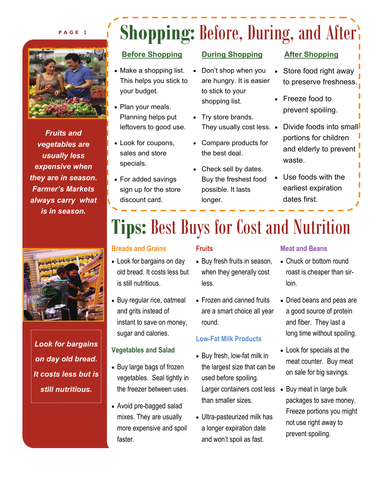#### **PAGE 2**



*Fruits and vegetables are usually less expensive when they are in season. Farmer's Markets always carry what is in season.* 



*Look for bargains on day old bread. It costs less but is still nutritious.* 

## **Shopping: Before, During, and After's**

#### **Before Shopping**

- Make a shopping list. This helps you stick to your budget.
- Plan your meals. Planning helps put leftovers to good use.
- Look for coupons, sales and store specials.
- For added savings sign up for the store discount card.

#### **During Shopping**

- Don't shop when you are hungry. It is easier to stick to your shopping list.
- Try store brands. They usually cost less. •
- Compare products for the best deal.
- Check sell by dates. Buy the freshest food possible. It lasts longer.

#### **After Shopping**

- Store food right away to preserve freshness.
- Freeze food to prevent spoiling.
- Divide foods into small portions for children and elderly to prevent waste.
- Use foods with the earliest expiration dates first.

## **Tips:** Best Buys for Cost and Nutrition

#### **Breads and Grains**

#### Look for bargains on day old bread. It costs less but is still nutritious.

• Buy regular rice, oatmeal and grits instead of instant to save on money, sugar and calories.

#### **Vegetables and Salad**

- Buy large bags of frozen vegetables. Seal tightly in the freezer between uses.
- Avoid pre-bagged salad mixes. They are usually more expensive and spoil faster.

#### **Fruits**

- Buy fresh fruits in season, when they generally cost less.
- Frozen and canned fruits are a smart choice all year round.

#### **Low-Fat Milk Products**

- Buy fresh, low-fat milk in the largest size that can be used before spoiling. Larger containers cost less . Buy meat in large bulk than smaller sizes.
- Ultra-pasteurized milk has a longer expiration date and won't spoil as fast.

#### **Meat and Beans**

- Chuck or bottom round roast is cheaper than sirloin.
- Dried beans and peas are a good source of protein and fiber. They last a long time without spoiling.
- Look for specials at the meat counter. Buy meat on sale for big savings.
- packages to save money. Freeze portions you might not use right away to prevent spoiling.